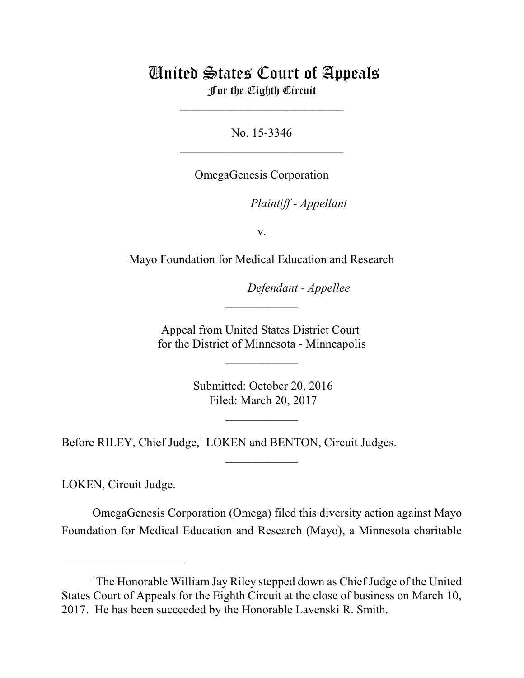## United States Court of Appeals For the Eighth Circuit

No. 15-3346  $\mathcal{L}_\text{max}$  , which is a set of the set of the set of the set of the set of the set of the set of the set of the set of the set of the set of the set of the set of the set of the set of the set of the set of the set of

\_\_\_\_\_\_\_\_\_\_\_\_\_\_\_\_\_\_\_\_\_\_\_\_\_\_\_

OmegaGenesis Corporation

*Plaintiff - Appellant* 

v.

Mayo Foundation for Medical Education and Research

Defendant - Appellee

Appeal from United States District Court for the District of Minnesota - Minneapolis

 $\overline{\phantom{a}}$  , where  $\overline{\phantom{a}}$ 

 $\frac{1}{2}$ 

 Submitted: October 20, 2016 Filed: March 20, 2017

 $\frac{1}{2}$ 

 $\overline{\phantom{a}}$  , where  $\overline{\phantom{a}}$ 

Before RILEY, Chief Judge,<sup>1</sup> LOKEN and BENTON, Circuit Judges.

LOKEN, Circuit Judge.

OmegaGenesis Corporation (Omega) filed this diversity action against Mayo Foundation for Medical Education and Research (Mayo), a Minnesota charitable

<sup>&</sup>lt;sup>1</sup>The Honorable William Jay Riley stepped down as Chief Judge of the United States Court of Appeals for the Eighth Circuit at the close of business on March 10, 2017. He has been succeeded by the Honorable Lavenski R. Smith.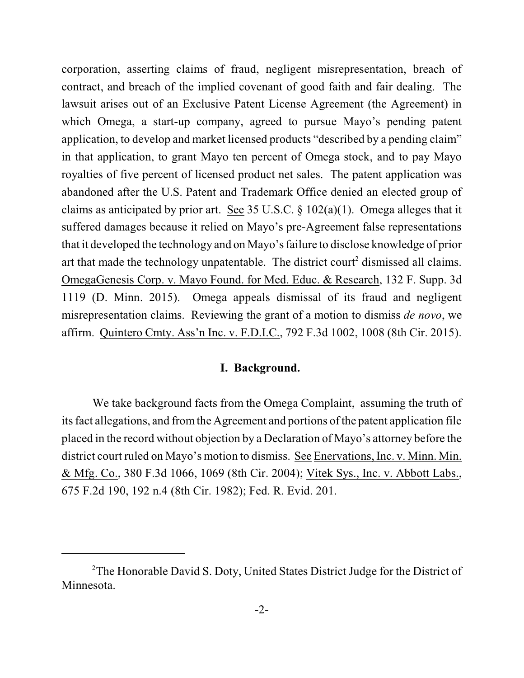corporation, asserting claims of fraud, negligent misrepresentation, breach of contract, and breach of the implied covenant of good faith and fair dealing. The lawsuit arises out of an Exclusive Patent License Agreement (the Agreement) in which Omega, a start-up company, agreed to pursue Mayo's pending patent application, to develop and market licensed products "described by a pending claim" in that application, to grant Mayo ten percent of Omega stock, and to pay Mayo royalties of five percent of licensed product net sales. The patent application was abandoned after the U.S. Patent and Trademark Office denied an elected group of claims as anticipated by prior art. See 35 U.S.C.  $\S$  102(a)(1). Omega alleges that it suffered damages because it relied on Mayo's pre-Agreement false representations that it developed the technology and on Mayo's failure to disclose knowledge of prior art that made the technology unpatentable. The district court<sup>2</sup> dismissed all claims. OmegaGenesis Corp. v. Mayo Found. for Med. Educ. & Research, 132 F. Supp. 3d 1119 (D. Minn. 2015). Omega appeals dismissal of its fraud and negligent misrepresentation claims. Reviewing the grant of a motion to dismiss *de novo*, we affirm. Quintero Cmty. Ass'n Inc. v. F.D.I.C., 792 F.3d 1002, 1008 (8th Cir. 2015).

## **I. Background.**

We take background facts from the Omega Complaint, assuming the truth of its fact allegations, and fromthe Agreement and portions of the patent application file placed in the record without objection by a Declaration of Mayo's attorney before the district court ruled on Mayo's motion to dismiss. See Enervations, Inc. v. Minn. Min. & Mfg. Co., 380 F.3d 1066, 1069 (8th Cir. 2004); Vitek Sys., Inc. v. Abbott Labs., 675 F.2d 190, 192 n.4 (8th Cir. 1982); Fed. R. Evid. 201.

<sup>&</sup>lt;sup>2</sup>The Honorable David S. Doty, United States District Judge for the District of Minnesota.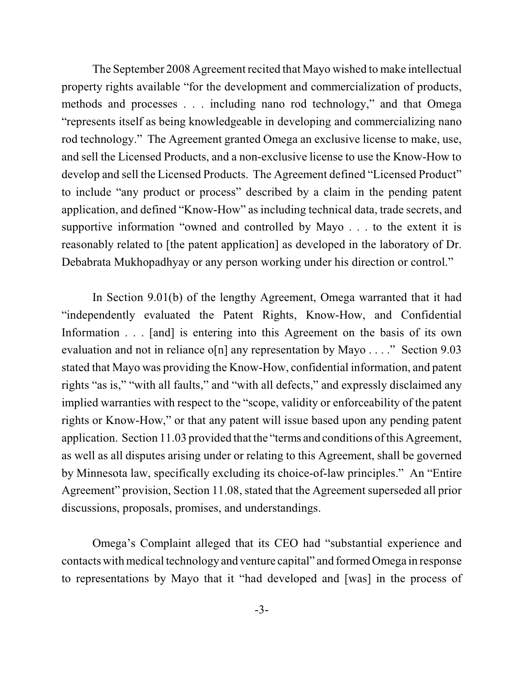The September 2008 Agreement recited that Mayo wished to make intellectual property rights available "for the development and commercialization of products, methods and processes . . . including nano rod technology," and that Omega "represents itself as being knowledgeable in developing and commercializing nano rod technology." The Agreement granted Omega an exclusive license to make, use, and sell the Licensed Products, and a non-exclusive license to use the Know-How to develop and sell the Licensed Products. The Agreement defined "Licensed Product" to include "any product or process" described by a claim in the pending patent application, and defined "Know-How" as including technical data, trade secrets, and supportive information "owned and controlled by Mayo . . . to the extent it is reasonably related to [the patent application] as developed in the laboratory of Dr. Debabrata Mukhopadhyay or any person working under his direction or control."

In Section 9.01(b) of the lengthy Agreement, Omega warranted that it had "independently evaluated the Patent Rights, Know-How, and Confidential Information . . . [and] is entering into this Agreement on the basis of its own evaluation and not in reliance o[n] any representation by Mayo . . . ." Section 9.03 stated that Mayo was providing the Know-How, confidential information, and patent rights "as is," "with all faults," and "with all defects," and expressly disclaimed any implied warranties with respect to the "scope, validity or enforceability of the patent rights or Know-How," or that any patent will issue based upon any pending patent application. Section 11.03 provided that the "terms and conditions ofthis Agreement, as well as all disputes arising under or relating to this Agreement, shall be governed by Minnesota law, specifically excluding its choice-of-law principles." An "Entire Agreement" provision, Section 11.08, stated that the Agreement superseded all prior discussions, proposals, promises, and understandings.

Omega's Complaint alleged that its CEO had "substantial experience and contacts with medical technology and venture capital" and formed Omega in response to representations by Mayo that it "had developed and [was] in the process of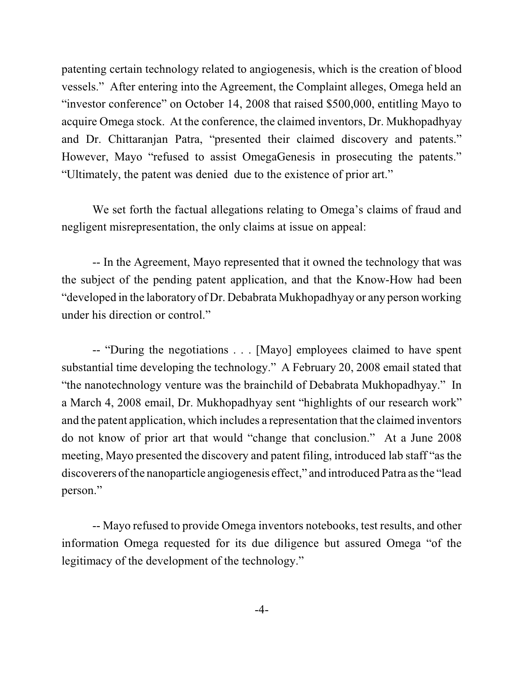patenting certain technology related to angiogenesis, which is the creation of blood vessels." After entering into the Agreement, the Complaint alleges, Omega held an "investor conference" on October 14, 2008 that raised \$500,000, entitling Mayo to acquire Omega stock. At the conference, the claimed inventors, Dr. Mukhopadhyay and Dr. Chittaranjan Patra, "presented their claimed discovery and patents." However, Mayo "refused to assist OmegaGenesis in prosecuting the patents." "Ultimately, the patent was denied due to the existence of prior art."

We set forth the factual allegations relating to Omega's claims of fraud and negligent misrepresentation, the only claims at issue on appeal:

-- In the Agreement, Mayo represented that it owned the technology that was the subject of the pending patent application, and that the Know-How had been "developed in the laboratory of Dr. Debabrata Mukhopadhyay or any person working under his direction or control."

-- "During the negotiations . . . [Mayo] employees claimed to have spent substantial time developing the technology." A February 20, 2008 email stated that "the nanotechnology venture was the brainchild of Debabrata Mukhopadhyay." In a March 4, 2008 email, Dr. Mukhopadhyay sent "highlights of our research work" and the patent application, which includes a representation that the claimed inventors do not know of prior art that would "change that conclusion." At a June 2008 meeting, Mayo presented the discovery and patent filing, introduced lab staff "as the discoverers ofthe nanoparticle angiogenesis effect," and introduced Patra asthe "lead person."

-- Mayo refused to provide Omega inventors notebooks, test results, and other information Omega requested for its due diligence but assured Omega "of the legitimacy of the development of the technology."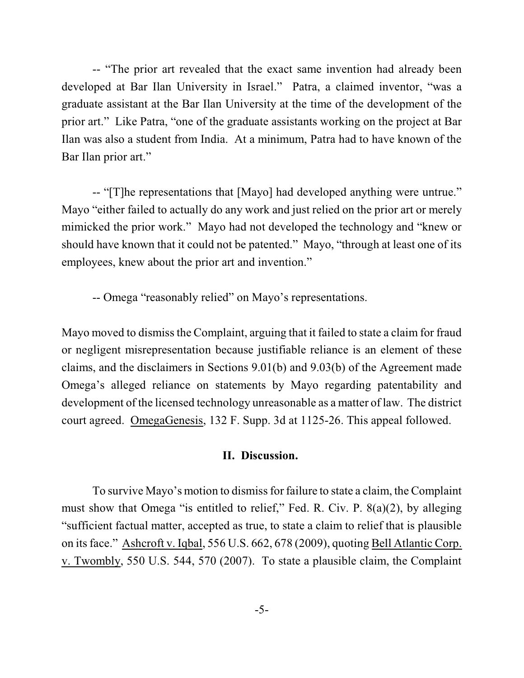-- "The prior art revealed that the exact same invention had already been developed at Bar Ilan University in Israel." Patra, a claimed inventor, "was a graduate assistant at the Bar Ilan University at the time of the development of the prior art." Like Patra, "one of the graduate assistants working on the project at Bar Ilan was also a student from India. At a minimum, Patra had to have known of the Bar Ilan prior art."

-- "[T]he representations that [Mayo] had developed anything were untrue." Mayo "either failed to actually do any work and just relied on the prior art or merely mimicked the prior work." Mayo had not developed the technology and "knew or should have known that it could not be patented." Mayo, "through at least one of its employees, knew about the prior art and invention."

-- Omega "reasonably relied" on Mayo's representations.

Mayo moved to dismiss the Complaint, arguing that it failed to state a claim for fraud or negligent misrepresentation because justifiable reliance is an element of these claims, and the disclaimers in Sections 9.01(b) and 9.03(b) of the Agreement made Omega's alleged reliance on statements by Mayo regarding patentability and development of the licensed technology unreasonable as a matter of law. The district court agreed. OmegaGenesis, 132 F. Supp. 3d at 1125-26. This appeal followed.

## **II. Discussion.**

To survive Mayo's motion to dismiss for failure to state a claim, the Complaint must show that Omega "is entitled to relief," Fed. R. Civ. P. 8(a)(2), by alleging "sufficient factual matter, accepted as true, to state a claim to relief that is plausible on its face." Ashcroft v. Iqbal, 556 U.S. 662, 678 (2009), quoting Bell Atlantic Corp. v. Twombly, 550 U.S. 544, 570 (2007). To state a plausible claim, the Complaint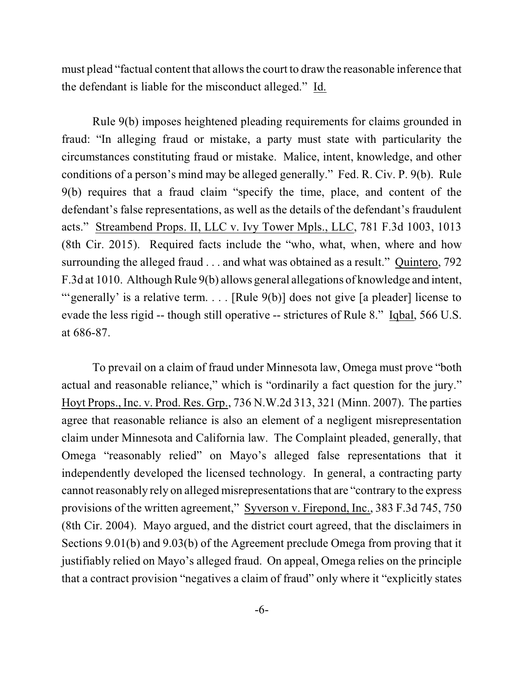must plead "factual content that allows the court to draw the reasonable inference that the defendant is liable for the misconduct alleged." Id.

Rule 9(b) imposes heightened pleading requirements for claims grounded in fraud: "In alleging fraud or mistake, a party must state with particularity the circumstances constituting fraud or mistake. Malice, intent, knowledge, and other conditions of a person's mind may be alleged generally." Fed. R. Civ. P. 9(b). Rule 9(b) requires that a fraud claim "specify the time, place, and content of the defendant's false representations, as well as the details of the defendant's fraudulent acts." Streambend Props. II, LLC v. Ivy Tower Mpls., LLC, 781 F.3d 1003, 1013 (8th Cir. 2015). Required facts include the "who, what, when, where and how surrounding the alleged fraud . . . and what was obtained as a result." Quintero, 792 F.3d at 1010. Although Rule 9(b) allows general allegations of knowledge and intent, "'generally' is a relative term.... [Rule 9(b)] does not give [a pleader] license to evade the less rigid -- though still operative -- strictures of Rule 8." Iqbal, 566 U.S. at 686-87.

To prevail on a claim of fraud under Minnesota law, Omega must prove "both actual and reasonable reliance," which is "ordinarily a fact question for the jury." Hoyt Props., Inc. v. Prod. Res. Grp., 736 N.W.2d 313, 321 (Minn. 2007). The parties agree that reasonable reliance is also an element of a negligent misrepresentation claim under Minnesota and California law. The Complaint pleaded, generally, that Omega "reasonably relied" on Mayo's alleged false representations that it independently developed the licensed technology. In general, a contracting party cannot reasonably rely on alleged misrepresentations that are "contrary to the express provisions of the written agreement," Syverson v. Firepond, Inc., 383 F.3d 745, 750 (8th Cir. 2004). Mayo argued, and the district court agreed, that the disclaimers in Sections 9.01(b) and 9.03(b) of the Agreement preclude Omega from proving that it justifiably relied on Mayo's alleged fraud. On appeal, Omega relies on the principle that a contract provision "negatives a claim of fraud" only where it "explicitly states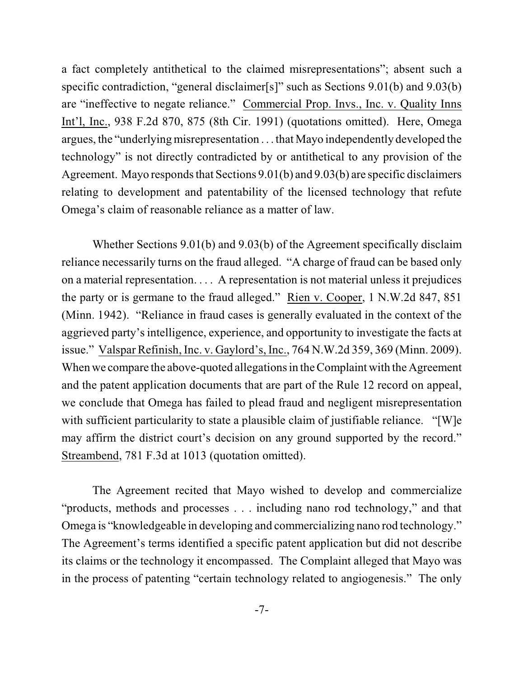a fact completely antithetical to the claimed misrepresentations"; absent such a specific contradiction, "general disclaimer[s]" such as Sections 9.01(b) and 9.03(b) are "ineffective to negate reliance." Commercial Prop. Invs., Inc. v. Quality Inns Int'l, Inc., 938 F.2d 870, 875 (8th Cir. 1991) (quotations omitted). Here, Omega argues, the "underlying misrepresentation . . . that Mayo independently developed the technology" is not directly contradicted by or antithetical to any provision of the Agreement. Mayo responds that Sections 9.01(b) and 9.03(b) are specific disclaimers relating to development and patentability of the licensed technology that refute Omega's claim of reasonable reliance as a matter of law.

Whether Sections 9.01(b) and 9.03(b) of the Agreement specifically disclaim reliance necessarily turns on the fraud alleged. "A charge of fraud can be based only on a material representation. . . . A representation is not material unless it prejudices the party or is germane to the fraud alleged." Rien v. Cooper, 1 N.W.2d 847, 851 (Minn. 1942). "Reliance in fraud cases is generally evaluated in the context of the aggrieved party's intelligence, experience, and opportunity to investigate the facts at issue." Valspar Refinish, Inc. v. Gaylord's, Inc., 764 N.W.2d 359, 369 (Minn. 2009). When we compare the above-quoted allegations in the Complaint with the Agreement and the patent application documents that are part of the Rule 12 record on appeal, we conclude that Omega has failed to plead fraud and negligent misrepresentation with sufficient particularity to state a plausible claim of justifiable reliance. "[W]e may affirm the district court's decision on any ground supported by the record." Streambend, 781 F.3d at 1013 (quotation omitted).

The Agreement recited that Mayo wished to develop and commercialize "products, methods and processes . . . including nano rod technology," and that Omega is "knowledgeable in developing and commercializing nano rod technology." The Agreement's terms identified a specific patent application but did not describe its claims or the technology it encompassed. The Complaint alleged that Mayo was in the process of patenting "certain technology related to angiogenesis." The only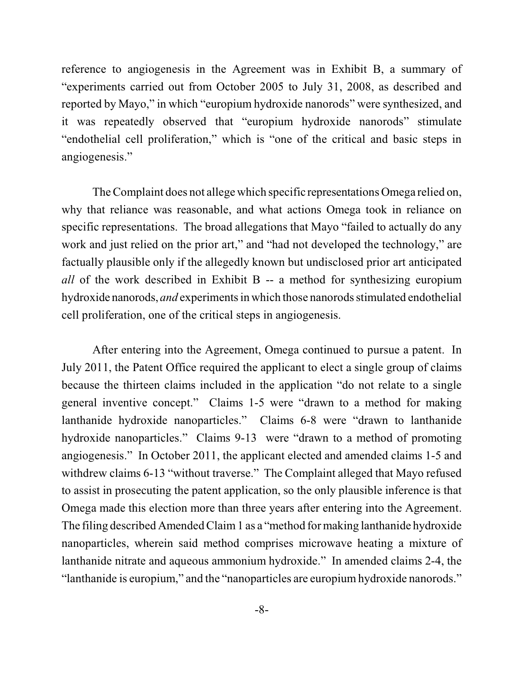reference to angiogenesis in the Agreement was in Exhibit B, a summary of "experiments carried out from October 2005 to July 31, 2008, as described and reported by Mayo," in which "europium hydroxide nanorods" were synthesized, and it was repeatedly observed that "europium hydroxide nanorods" stimulate "endothelial cell proliferation," which is "one of the critical and basic steps in angiogenesis."

The Complaint does not allege which specific representations Omega relied on, why that reliance was reasonable, and what actions Omega took in reliance on specific representations. The broad allegations that Mayo "failed to actually do any work and just relied on the prior art," and "had not developed the technology," are factually plausible only if the allegedly known but undisclosed prior art anticipated *all* of the work described in Exhibit B -- a method for synthesizing europium hydroxide nanorods, *and* experiments in which those nanorods stimulated endothelial cell proliferation, one of the critical steps in angiogenesis.

After entering into the Agreement, Omega continued to pursue a patent. In July 2011, the Patent Office required the applicant to elect a single group of claims because the thirteen claims included in the application "do not relate to a single general inventive concept." Claims 1-5 were "drawn to a method for making lanthanide hydroxide nanoparticles." Claims 6-8 were "drawn to lanthanide hydroxide nanoparticles." Claims 9-13 were "drawn to a method of promoting angiogenesis." In October 2011, the applicant elected and amended claims 1-5 and withdrew claims 6-13 "without traverse." The Complaint alleged that Mayo refused to assist in prosecuting the patent application, so the only plausible inference is that Omega made this election more than three years after entering into the Agreement. The filing described Amended Claim 1 as a "method for making lanthanide hydroxide" nanoparticles, wherein said method comprises microwave heating a mixture of lanthanide nitrate and aqueous ammonium hydroxide." In amended claims 2-4, the "lanthanide is europium," and the "nanoparticles are europium hydroxide nanorods."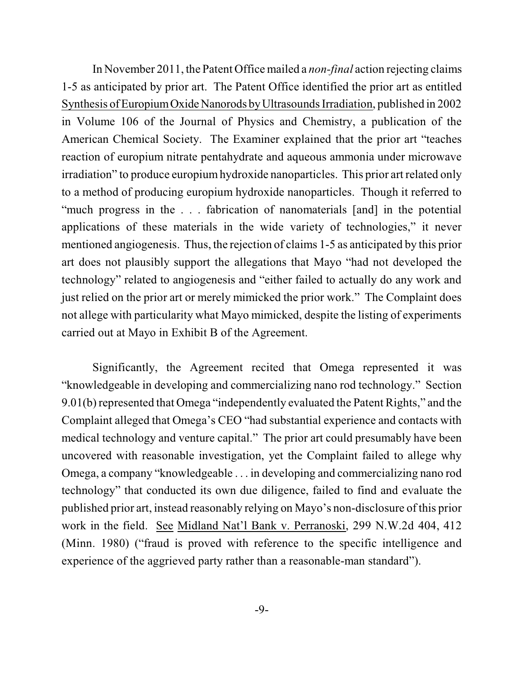In November 2011, the Patent Office mailed a *non-final* action rejecting claims 1-5 as anticipated by prior art. The Patent Office identified the prior art as entitled Synthesis of EuropiumOxide Nanorods byUltrasounds Irradiation, published in 2002 in Volume 106 of the Journal of Physics and Chemistry, a publication of the American Chemical Society. The Examiner explained that the prior art "teaches reaction of europium nitrate pentahydrate and aqueous ammonia under microwave irradiation" to produce europiumhydroxide nanoparticles. This prior art related only to a method of producing europium hydroxide nanoparticles. Though it referred to "much progress in the . . . fabrication of nanomaterials [and] in the potential applications of these materials in the wide variety of technologies," it never mentioned angiogenesis. Thus, the rejection of claims 1-5 as anticipated by this prior art does not plausibly support the allegations that Mayo "had not developed the technology" related to angiogenesis and "either failed to actually do any work and just relied on the prior art or merely mimicked the prior work." The Complaint does not allege with particularity what Mayo mimicked, despite the listing of experiments carried out at Mayo in Exhibit B of the Agreement.

Significantly, the Agreement recited that Omega represented it was "knowledgeable in developing and commercializing nano rod technology." Section 9.01(b) represented that Omega "independently evaluated the Patent Rights," and the Complaint alleged that Omega's CEO "had substantial experience and contacts with medical technology and venture capital." The prior art could presumably have been uncovered with reasonable investigation, yet the Complaint failed to allege why Omega, a company "knowledgeable . . . in developing and commercializing nano rod technology" that conducted its own due diligence, failed to find and evaluate the published prior art, instead reasonably relying on Mayo's non-disclosure of this prior work in the field. See Midland Nat'l Bank v. Perranoski, 299 N.W.2d 404, 412 (Minn. 1980) ("fraud is proved with reference to the specific intelligence and experience of the aggrieved party rather than a reasonable-man standard").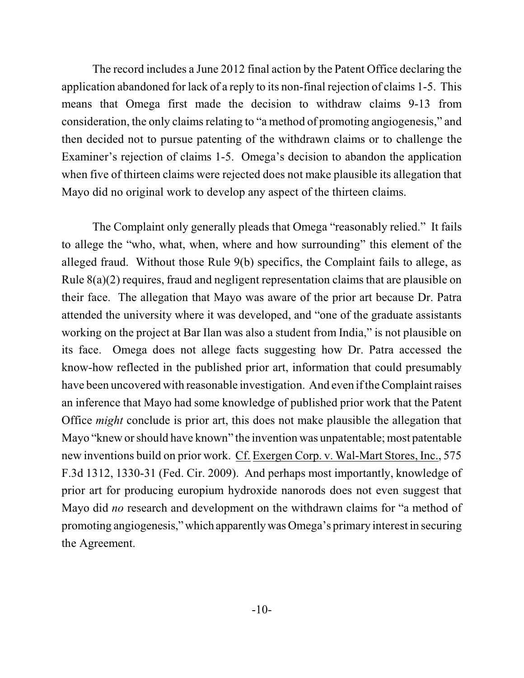The record includes a June 2012 final action by the Patent Office declaring the application abandoned for lack of a reply to its non-final rejection of claims 1-5. This means that Omega first made the decision to withdraw claims 9-13 from consideration, the only claims relating to "a method of promoting angiogenesis," and then decided not to pursue patenting of the withdrawn claims or to challenge the Examiner's rejection of claims 1-5. Omega's decision to abandon the application when five of thirteen claims were rejected does not make plausible its allegation that Mayo did no original work to develop any aspect of the thirteen claims.

The Complaint only generally pleads that Omega "reasonably relied." It fails to allege the "who, what, when, where and how surrounding" this element of the alleged fraud. Without those Rule 9(b) specifics, the Complaint fails to allege, as Rule 8(a)(2) requires, fraud and negligent representation claims that are plausible on their face. The allegation that Mayo was aware of the prior art because Dr. Patra attended the university where it was developed, and "one of the graduate assistants working on the project at Bar Ilan was also a student from India," is not plausible on its face. Omega does not allege facts suggesting how Dr. Patra accessed the know-how reflected in the published prior art, information that could presumably have been uncovered with reasonable investigation. And even if the Complaintraises an inference that Mayo had some knowledge of published prior work that the Patent Office *might* conclude is prior art, this does not make plausible the allegation that Mayo "knew orshould have known" the invention was unpatentable; most patentable new inventions build on prior work. Cf. Exergen Corp. v. Wal-Mart Stores, Inc., 575 F.3d 1312, 1330-31 (Fed. Cir. 2009). And perhaps most importantly, knowledge of prior art for producing europium hydroxide nanorods does not even suggest that Mayo did *no* research and development on the withdrawn claims for "a method of promoting angiogenesis," which apparentlywas Omega's primary interest in securing the Agreement.